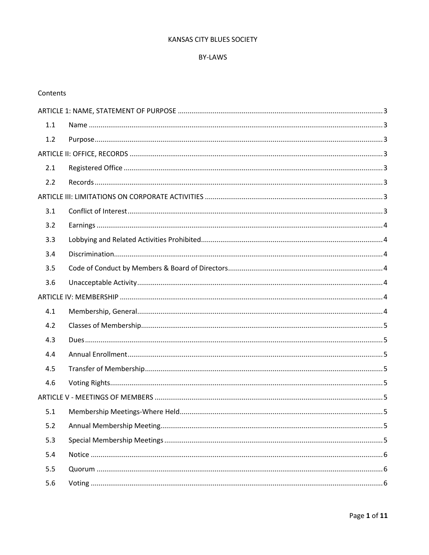#### KANSAS CITY BLUES SOCIETY

#### BY-LAWS

#### Contents

| 1.1 |  |  |
|-----|--|--|
| 1.2 |  |  |
|     |  |  |
| 2.1 |  |  |
| 2.2 |  |  |
|     |  |  |
| 3.1 |  |  |
| 3.2 |  |  |
| 3.3 |  |  |
| 3.4 |  |  |
| 3.5 |  |  |
| 3.6 |  |  |
|     |  |  |
| 4.1 |  |  |
| 4.2 |  |  |
| 4.3 |  |  |
| 4.4 |  |  |
| 4.5 |  |  |
| 4.6 |  |  |
|     |  |  |
| 5.1 |  |  |
| 5.2 |  |  |
| 5.3 |  |  |
| 5.4 |  |  |
| 5.5 |  |  |
| 5.6 |  |  |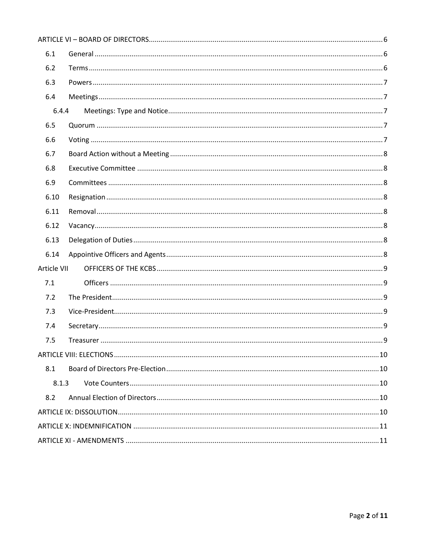| 6.1         |  |
|-------------|--|
| 6.2         |  |
| 6.3         |  |
| 6.4         |  |
| 6.4.4       |  |
| 6.5         |  |
| 6.6         |  |
| 6.7         |  |
| 6.8         |  |
| 6.9         |  |
| 6.10        |  |
| 6.11        |  |
| 6.12        |  |
| 6.13        |  |
| 6.14        |  |
| Article VII |  |
| 7.1         |  |
| 7.2         |  |
| 7.3         |  |
| 7.4         |  |
| 7.5         |  |
|             |  |
| 8.1         |  |
| 8.1.3       |  |
| 8.2         |  |
|             |  |
|             |  |
|             |  |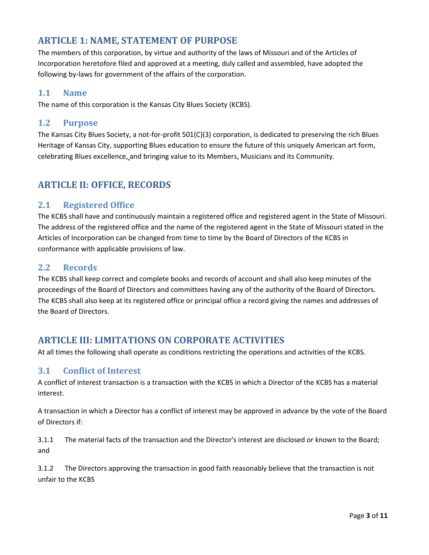# <span id="page-2-0"></span>**ARTICLE 1: NAME, STATEMENT OF PURPOSE**

The members of this corporation, by virtue and authority of the laws of Missouri and of the Articles of Incorporation heretofore filed and approved at a meeting, duly called and assembled, have adopted the following by-laws for government of the affairs of the corporation.

## <span id="page-2-1"></span>**1.1 Name**

The name of this corporation is the Kansas City Blues Society (KCBS).

### <span id="page-2-2"></span>**1.2 Purpose**

The Kansas City Blues Society, a not-for-profit 501(C)(3) corporation, is dedicated to preserving the rich Blues Heritage of Kansas City, supporting Blues education to ensure the future of this uniquely American art form, celebrating Blues excellence, and bringing value to its Members, Musicians and its Community.

# <span id="page-2-3"></span>**ARTICLE II: OFFICE, RECORDS**

## <span id="page-2-4"></span>**2.1 Registered Office**

The KCBS shall have and continuously maintain a registered office and registered agent in the State of Missouri. The address of the registered office and the name of the registered agent in the State of Missouri stated in the Articles of Incorporation can be changed from time to time by the Board of Directors of the KCBS in conformance with applicable provisions of law.

## <span id="page-2-5"></span>**2.2 Records**

The KCBS shall keep correct and complete books and records of account and shall also keep minutes of the proceedings of the Board of Directors and committees having any of the authority of the Board of Directors. The KCBS shall also keep at its registered office or principal office a record giving the names and addresses of the Board of Directors.

# <span id="page-2-6"></span>**ARTICLE III: LIMITATIONS ON CORPORATE ACTIVITIES**

At all times the following shall operate as conditions restricting the operations and activities of the KCBS.

#### <span id="page-2-7"></span>**3.1 Conflict of Interest**

A conflict of interest transaction is a transaction with the KCBS in which a Director of the KCBS has a material interest.

A transaction in which a Director has a conflict of interest may be approved in advance by the vote of the Board of Directors if:

3.1.1 The material facts of the transaction and the Director's interest are disclosed or known to the Board; and

3.1.2 The Directors approving the transaction in good faith reasonably believe that the transaction is not unfair to the KCBS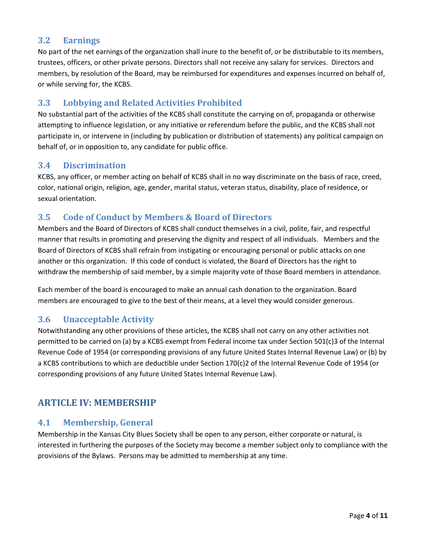## <span id="page-3-0"></span>**3.2 Earnings**

No part of the net earnings of the organization shall inure to the benefit of, or be distributable to its members, trustees, officers, or other private persons. Directors shall not receive any salary for services. Directors and members, by resolution of the Board, may be reimbursed for expenditures and expenses incurred on behalf of, or while serving for, the KCBS.

## <span id="page-3-1"></span>**3.3 Lobbying and Related Activities Prohibited**

No substantial part of the activities of the KCBS shall constitute the carrying on of, propaganda or otherwise attempting to influence legislation, or any initiative or referendum before the public, and the KCBS shall not participate in, or intervene in (including by publication or distribution of statements) any political campaign on behalf of, or in opposition to, any candidate for public office.

## <span id="page-3-2"></span>**3.4 Discrimination**

KCBS, any officer, or member acting on behalf of KCBS shall in no way discriminate on the basis of race, creed, color, national origin, religion, age, gender, marital status, veteran status, disability, place of residence, or sexual orientation.

## <span id="page-3-3"></span>**3.5 Code of Conduct by Members & Board of Directors**

Members and the Board of Directors of KCBS shall conduct themselves in a civil, polite, fair, and respectful manner that results in promoting and preserving the dignity and respect of all individuals. Members and the Board of Directors of KCBS shall refrain from instigating or encouraging personal or public attacks on one another or this organization. If this code of conduct is violated, the Board of Directors has the right to withdraw the membership of said member, by a simple majority vote of those Board members in attendance.

Each member of the board is encouraged to make an annual cash donation to the organization. Board members are encouraged to give to the best of their means, at a level they would consider generous.

# <span id="page-3-4"></span>**3.6 Unacceptable Activity**

Notwithstanding any other provisions of these articles, the KCBS shall not carry on any other activities not permitted to be carried on (a) by a KCBS exempt from Federal income tax under Section 501(c)3 of the Internal Revenue Code of 1954 (or corresponding provisions of any future United States Internal Revenue Law) or (b) by a KCBS contributions to which are deductible under Section 170(c)2 of the Internal Revenue Code of 1954 (or corresponding provisions of any future United States Internal Revenue Law).

# <span id="page-3-5"></span>**ARTICLE IV: MEMBERSHIP**

## <span id="page-3-6"></span>**4.1 Membership, General**

Membership in the Kansas City Blues Society shall be open to any person, either corporate or natural, is interested in furthering the purposes of the Society may become a member subject only to compliance with the provisions of the Bylaws. Persons may be admitted to membership at any time.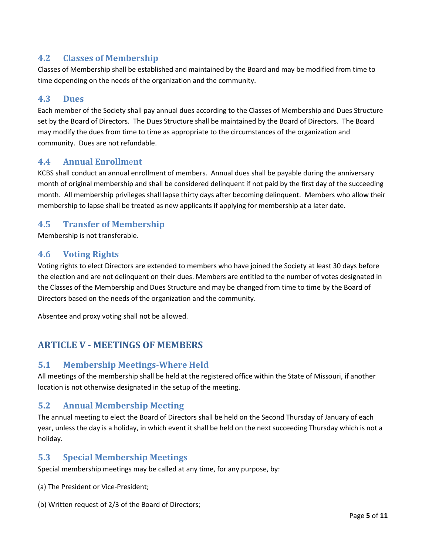## <span id="page-4-0"></span>**4.2 Classes of Membership**

Classes of Membership shall be established and maintained by the Board and may be modified from time to time depending on the needs of the organization and the community.

## <span id="page-4-1"></span>**4.3 Dues**

Each member of the Society shall pay annual dues according to the Classes of Membership and Dues Structure set by the Board of Directors. The Dues Structure shall be maintained by the Board of Directors. The Board may modify the dues from time to time as appropriate to the circumstances of the organization and community. Dues are not refundable.

## <span id="page-4-2"></span>**4.4 Annual Enrollm**e**nt**

KCBS shall conduct an annual enrollment of members. Annual dues shall be payable during the anniversary month of original membership and shall be considered delinquent if not paid by the first day of the succeeding month. All membership privileges shall lapse thirty days after becoming delinquent. Members who allow their membership to lapse shall be treated as new applicants if applying for membership at a later date.

## <span id="page-4-3"></span>**4.5 Transfer of Membership**

Membership is not transferable.

## <span id="page-4-4"></span>**4.6 Voting Rights**

Voting rights to elect Directors are extended to members who have joined the Society at least 30 days before the election and are not delinquent on their dues. Members are entitled to the number of votes designated in the Classes of the Membership and Dues Structure and may be changed from time to time by the Board of Directors based on the needs of the organization and the community.

Absentee and proxy voting shall not be allowed.

# <span id="page-4-5"></span>**ARTICLE V - MEETINGS OF MEMBERS**

## <span id="page-4-6"></span>**5.1 Membership Meetings-Where Held**

All meetings of the membership shall be held at the registered office within the State of Missouri, if another location is not otherwise designated in the setup of the meeting.

#### <span id="page-4-7"></span>**5.2 Annual Membership Meeting**

The annual meeting to elect the Board of Directors shall be held on the Second Thursday of January of each year, unless the day is a holiday, in which event it shall be held on the next succeeding Thursday which is not a holiday.

#### <span id="page-4-8"></span>**5.3 Special Membership Meetings**

Special membership meetings may be called at any time, for any purpose, by:

- (a) The President or Vice-President;
- (b) Written request of 2/3 of the Board of Directors;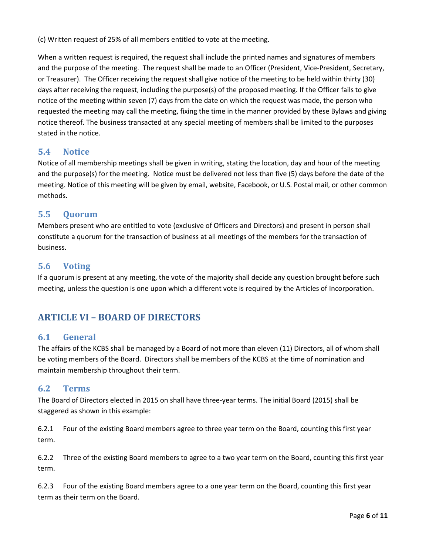(c) Written request of 25% of all members entitled to vote at the meeting.

When a written request is required, the request shall include the printed names and signatures of members and the purpose of the meeting. The request shall be made to an Officer (President, Vice-President, Secretary, or Treasurer). The Officer receiving the request shall give notice of the meeting to be held within thirty (30) days after receiving the request, including the purpose(s) of the proposed meeting. If the Officer fails to give notice of the meeting within seven (7) days from the date on which the request was made, the person who requested the meeting may call the meeting, fixing the time in the manner provided by these Bylaws and giving notice thereof. The business transacted at any special meeting of members shall be limited to the purposes stated in the notice.

## <span id="page-5-0"></span>**5.4 Notice**

Notice of all membership meetings shall be given in writing, stating the location, day and hour of the meeting and the purpose(s) for the meeting. Notice must be delivered not less than five (5) days before the date of the meeting. Notice of this meeting will be given by email, website, Facebook, or U.S. Postal mail, or other common methods.

## <span id="page-5-1"></span>**5.5 Quorum**

Members present who are entitled to vote (exclusive of Officers and Directors) and present in person shall constitute a quorum for the transaction of business at all meetings of the members for the transaction of business.

## <span id="page-5-2"></span>**5.6 Voting**

If a quorum is present at any meeting, the vote of the majority shall decide any question brought before such meeting, unless the question is one upon which a different vote is required by the Articles of Incorporation.

# <span id="page-5-3"></span>**ARTICLE VI – BOARD OF DIRECTORS**

#### <span id="page-5-4"></span>**6.1 General**

The affairs of the KCBS shall be managed by a Board of not more than eleven (11) Directors, all of whom shall be voting members of the Board. Directors shall be members of the KCBS at the time of nomination and maintain membership throughout their term.

#### <span id="page-5-5"></span>**6.2 Terms**

The Board of Directors elected in 2015 on shall have three-year terms. The initial Board (2015) shall be staggered as shown in this example:

6.2.1 Four of the existing Board members agree to three year term on the Board, counting this first year term.

6.2.2 Three of the existing Board members to agree to a two year term on the Board, counting this first year term.

6.2.3 Four of the existing Board members agree to a one year term on the Board, counting this first year term as their term on the Board.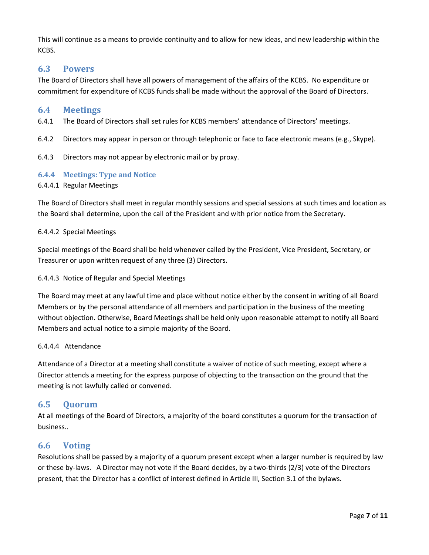This will continue as a means to provide continuity and to allow for new ideas, and new leadership within the KCBS.

## <span id="page-6-0"></span>**6.3 Powers**

The Board of Directors shall have all powers of management of the affairs of the KCBS. No expenditure or commitment for expenditure of KCBS funds shall be made without the approval of the Board of Directors.

#### <span id="page-6-1"></span>**6.4 Meetings**

- 6.4.1 The Board of Directors shall set rules for KCBS members' attendance of Directors' meetings.
- 6.4.2 Directors may appear in person or through telephonic or face to face electronic means (e.g., Skype).
- 6.4.3 Directors may not appear by electronic mail or by proxy.

#### <span id="page-6-2"></span>**6.4.4 Meetings: Type and Notice**

6.4.4.1 Regular Meetings

The Board of Directors shall meet in regular monthly sessions and special sessions at such times and location as the Board shall determine, upon the call of the President and with prior notice from the Secretary.

#### 6.4.4.2 Special Meetings

Special meetings of the Board shall be held whenever called by the President, Vice President, Secretary, or Treasurer or upon written request of any three (3) Directors.

#### 6.4.4.3 Notice of Regular and Special Meetings

The Board may meet at any lawful time and place without notice either by the consent in writing of all Board Members or by the personal attendance of all members and participation in the business of the meeting without objection. Otherwise, Board Meetings shall be held only upon reasonable attempt to notify all Board Members and actual notice to a simple majority of the Board.

#### 6.4.4.4 Attendance

Attendance of a Director at a meeting shall constitute a waiver of notice of such meeting, except where a Director attends a meeting for the express purpose of objecting to the transaction on the ground that the meeting is not lawfully called or convened.

#### <span id="page-6-3"></span>**6.5 Quorum**

At all meetings of the Board of Directors, a majority of the board constitutes a quorum for the transaction of business..

#### <span id="page-6-4"></span>**6.6 Voting**

Resolutions shall be passed by a majority of a quorum present except when a larger number is required by law or these by-laws. A Director may not vote if the Board decides, by a two-thirds (2/3) vote of the Directors present, that the Director has a conflict of interest defined in Article III, Section 3.1 of the bylaws.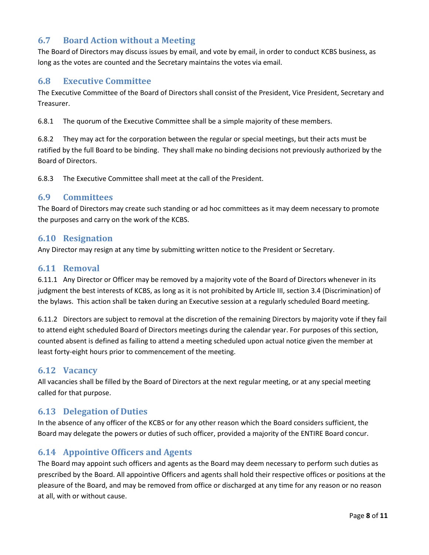# <span id="page-7-0"></span>**6.7 Board Action without a Meeting**

The Board of Directors may discuss issues by email, and vote by email, in order to conduct KCBS business, as long as the votes are counted and the Secretary maintains the votes via email.

## <span id="page-7-1"></span>**6.8 Executive Committee**

The Executive Committee of the Board of Directors shall consist of the President, Vice President, Secretary and Treasurer.

6.8.1 The quorum of the Executive Committee shall be a simple majority of these members.

6.8.2 They may act for the corporation between the regular or special meetings, but their acts must be ratified by the full Board to be binding. They shall make no binding decisions not previously authorized by the Board of Directors.

6.8.3 The Executive Committee shall meet at the call of the President.

#### <span id="page-7-2"></span>**6.9 Committees**

The Board of Directors may create such standing or ad hoc committees as it may deem necessary to promote the purposes and carry on the work of the KCBS.

#### <span id="page-7-3"></span>**6.10 Resignation**

Any Director may resign at any time by submitting written notice to the President or Secretary.

#### <span id="page-7-4"></span>**6.11 Removal**

6.11.1 Any Director or Officer may be removed by a majority vote of the Board of Directors whenever in its judgment the best interests of KCBS, as long as it is not prohibited by Article III, section 3.4 (Discrimination) of the bylaws. This action shall be taken during an Executive session at a regularly scheduled Board meeting.

6.11.2 Directors are subject to removal at the discretion of the remaining Directors by majority vote if they fail to attend eight scheduled Board of Directors meetings during the calendar year. For purposes of this section, counted absent is defined as failing to attend a meeting scheduled upon actual notice given the member at least forty-eight hours prior to commencement of the meeting.

#### <span id="page-7-5"></span>**6.12 Vacancy**

All vacancies shall be filled by the Board of Directors at the next regular meeting, or at any special meeting called for that purpose.

#### <span id="page-7-6"></span>**6.13 Delegation of Duties**

In the absence of any officer of the KCBS or for any other reason which the Board considers sufficient, the Board may delegate the powers or duties of such officer, provided a majority of the ENTIRE Board concur.

#### <span id="page-7-7"></span>**6.14 Appointive Officers and Agents**

The Board may appoint such officers and agents as the Board may deem necessary to perform such duties as prescribed by the Board. All appointive Officers and agents shall hold their respective offices or positions at the pleasure of the Board, and may be removed from office or discharged at any time for any reason or no reason at all, with or without cause.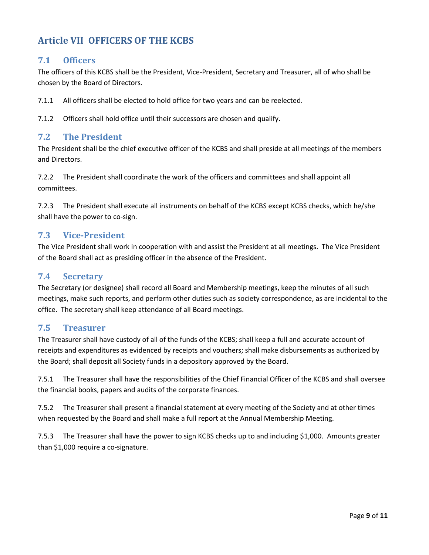# <span id="page-8-0"></span>**Article VII OFFICERS OF THE KCBS**

## <span id="page-8-1"></span>**7.1 Officers**

The officers of this KCBS shall be the President, Vice-President, Secretary and Treasurer, all of who shall be chosen by the Board of Directors.

7.1.1 All officers shall be elected to hold office for two years and can be reelected.

7.1.2 Officers shall hold office until their successors are chosen and qualify.

## <span id="page-8-2"></span>**7.2 The President**

The President shall be the chief executive officer of the KCBS and shall preside at all meetings of the members and Directors.

7.2.2 The President shall coordinate the work of the officers and committees and shall appoint all committees.

7.2.3 The President shall execute all instruments on behalf of the KCBS except KCBS checks, which he/she shall have the power to co-sign.

## <span id="page-8-3"></span>**7.3 Vice-President**

The Vice President shall work in cooperation with and assist the President at all meetings. The Vice President of the Board shall act as presiding officer in the absence of the President.

#### <span id="page-8-4"></span>**7.4 Secretary**

The Secretary (or designee) shall record all Board and Membership meetings, keep the minutes of all such meetings, make such reports, and perform other duties such as society correspondence, as are incidental to the office. The secretary shall keep attendance of all Board meetings.

#### <span id="page-8-5"></span>**7.5 Treasurer**

The Treasurer shall have custody of all of the funds of the KCBS; shall keep a full and accurate account of receipts and expenditures as evidenced by receipts and vouchers; shall make disbursements as authorized by the Board; shall deposit all Society funds in a depository approved by the Board.

7.5.1 The Treasurer shall have the responsibilities of the Chief Financial Officer of the KCBS and shall oversee the financial books, papers and audits of the corporate finances.

7.5.2 The Treasurer shall present a financial statement at every meeting of the Society and at other times when requested by the Board and shall make a full report at the Annual Membership Meeting.

7.5.3 The Treasurer shall have the power to sign KCBS checks up to and including \$1,000. Amounts greater than \$1,000 require a co-signature.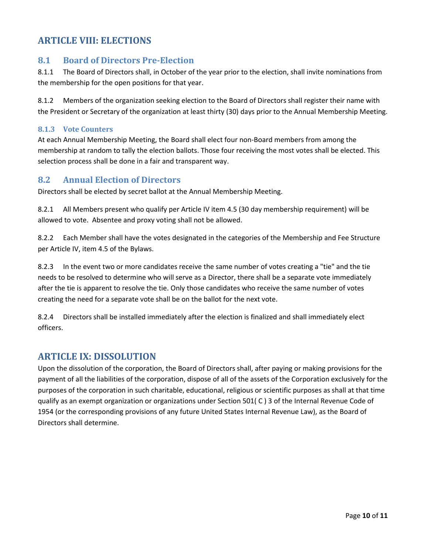# <span id="page-9-0"></span>**ARTICLE VIII: ELECTIONS**

### <span id="page-9-1"></span>**8.1 Board of Directors Pre-Election**

8.1.1 The Board of Directors shall, in October of the year prior to the election, shall invite nominations from the membership for the open positions for that year.

8.1.2 Members of the organization seeking election to the Board of Directors shall register their name with the President or Secretary of the organization at least thirty (30) days prior to the Annual Membership Meeting.

#### <span id="page-9-2"></span>**8.1.3 Vote Counters**

At each Annual Membership Meeting, the Board shall elect four non-Board members from among the membership at random to tally the election ballots. Those four receiving the most votes shall be elected. This selection process shall be done in a fair and transparent way.

#### <span id="page-9-3"></span>**8.2 Annual Election of Directors**

Directors shall be elected by secret ballot at the Annual Membership Meeting.

8.2.1 All Members present who qualify per Article IV item 4.5 (30 day membership requirement) will be allowed to vote. Absentee and proxy voting shall not be allowed.

8.2.2 Each Member shall have the votes designated in the categories of the Membership and Fee Structure per Article IV, item 4.5 of the Bylaws.

8.2.3 In the event two or more candidates receive the same number of votes creating a "tie" and the tie needs to be resolved to determine who will serve as a Director, there shall be a separate vote immediately after the tie is apparent to resolve the tie. Only those candidates who receive the same number of votes creating the need for a separate vote shall be on the ballot for the next vote.

8.2.4 Directors shall be installed immediately after the election is finalized and shall immediately elect officers.

## <span id="page-9-4"></span>**ARTICLE IX: DISSOLUTION**

Upon the dissolution of the corporation, the Board of Directors shall, after paying or making provisions for the payment of all the liabilities of the corporation, dispose of all of the assets of the Corporation exclusively for the purposes of the corporation in such charitable, educational, religious or scientific purposes as shall at that time qualify as an exempt organization or organizations under Section 501( C ) 3 of the Internal Revenue Code of 1954 (or the corresponding provisions of any future United States Internal Revenue Law), as the Board of Directors shall determine.